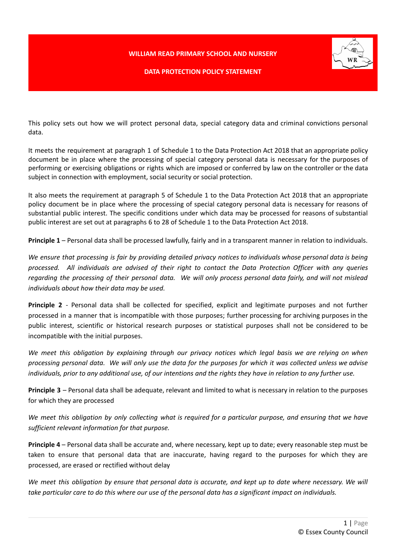## **WILLIAM READ PRIMARY SCHOOL AND NURSERY**



## **DATA PROTECTION POLICY STATEMENT**

This policy sets out how we will protect personal data, special category data and criminal convictions personal data.

It meets the requirement at paragraph 1 of Schedule 1 to the Data Protection Act 2018 that an appropriate policy document be in place where the processing of special category personal data is necessary for the purposes of performing or exercising obligations or rights which are imposed or conferred by law on the controller or the data subject in connection with employment, social security or social protection.

It also meets the requirement at paragraph 5 of Schedule 1 to the Data Protection Act 2018 that an appropriate policy document be in place where the processing of special category personal data is necessary for reasons of substantial public interest. The specific conditions under which data may be processed for reasons of substantial public interest are set out at paragraphs 6 to 28 of Schedule 1 to the Data Protection Act 2018.

**Principle 1** – Personal data shall be processed lawfully, fairly and in a transparent manner in relation to individuals.

We ensure that processing is fair by providing detailed privacy notices to individuals whose personal data is being processed. All individuals are advised of their right to contact the Data Protection Officer with any queries regarding the processing of their personal data. We will only process personal data fairly, and will not mislead *individuals about how their data may be used.*

**Principle 2** - Personal data shall be collected for specified, explicit and legitimate purposes and not further processed in a manner that is incompatible with those purposes; further processing for archiving purposes in the public interest, scientific or historical research purposes or statistical purposes shall not be considered to be incompatible with the initial purposes.

We meet this obligation by explaining through our privacy notices which legal basis we are relying on when processing personal data. We will only use the data for the purposes for which it was collected unless we advise individuals, prior to any additional use, of our intentions and the rights they have in relation to any further use.

**Principle 3** – Personal data shall be adequate, relevant and limited to what is necessary in relation to the purposes for which they are processed

We meet this obligation by only collecting what is required for a particular purpose, and ensuring that we have *sufficient relevant information for that purpose.*

**Principle 4** – Personal data shall be accurate and, where necessary, kept up to date; every reasonable step must be taken to ensure that personal data that are inaccurate, having regard to the purposes for which they are processed, are erased or rectified without delay

We meet this obligation by ensure that personal data is accurate, and kept up to date where necessary. We will take particular care to do this where our use of the personal data has a significant impact on individuals.